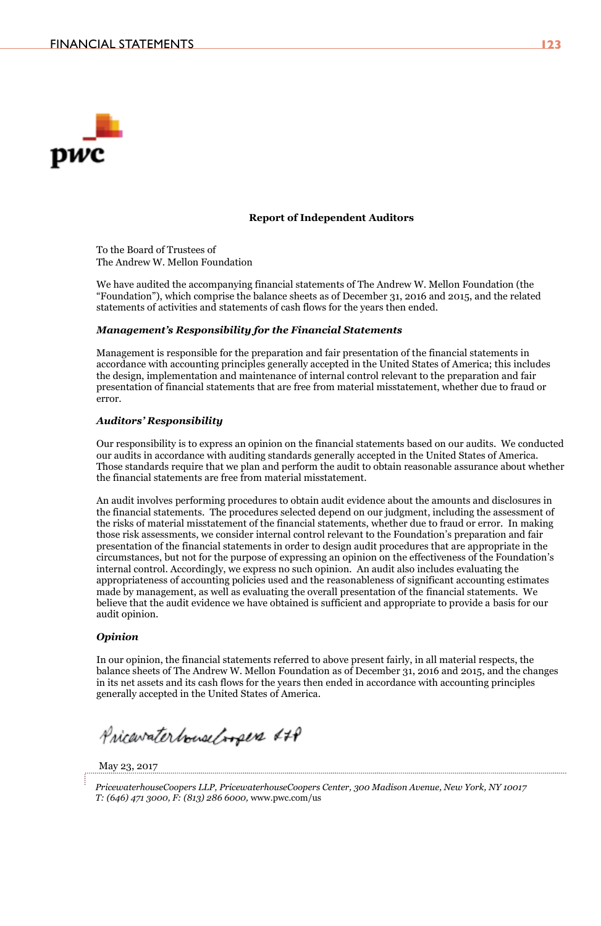

#### **Report of Independent Auditors**

To the Board of Trustees of The Andrew W. Mellon Foundation

We have audited the accompanying financial statements of The Andrew W. Mellon Foundation (the "Foundation"), which comprise the balance sheets as of December 31, 2016 and 2015, and the related statements of activities and statements of cash flows for the years then ended.

#### **Management's Responsibility for the Financial Statements**

Management is responsible for the preparation and fair presentation of the financial statements in accordance with accounting principles generally accepted in the United States of America; this includes the design, implementation and maintenance of internal control relevant to the preparation and fair presentation of financial statements that are free from material misstatement, whether due to fraud or  $error$ 

#### **Auditors' Responsibility**

Our responsibility is to express an opinion on the financial statements based on our audits. We conducted our audits in accordance with auditing standards generally accepted in the United States of America. Those standards require that we plan and perform the audit to obtain reasonable assurance about whether the financial statements are free from material misstatement.

An audit involves performing procedures to obtain audit evidence about the amounts and disclosures in the financial statements. The procedures selected depend on our judgment, including the assessment of the risks of material misstatement of the financial statements, whether due to fraud or error. In making those risk assessments, we consider internal control relevant to the Foundation's preparation and fair presentation of the financial statements in order to design audit procedures that are appropriate in the circumstances, but not for the purpose of expressing an opinion on the effectiveness of the Foundation's internal control. Accordingly, we express no such opinion. An audit also includes evaluating the appropriateness of accounting policies used and the reasonableness of significant accounting estimates made by management, as well as evaluating the overall presentation of the financial statements. We believe that the audit evidence we have obtained is sufficient and appropriate to provide a basis for our audit opinion.

#### **Opinion**

In our opinion, the financial statements referred to above present fairly, in all material respects, the balance sheets of The Andrew W. Mellon Foundation as of December 31, 2016 and 2015, and the changes in its net assets and its cash flows for the years then ended in accordance with accounting principles generally accepted in the United States of America.

PricavaterbouseCoopers &+P

May 23, 2017

PricewaterhouseCoopers LLP, PricewaterhouseCoopers Center, 300 Madison Avenue, New York, NY 10017 T: (646) 471 3000, F: (813) 286 6000, www.pwc.com/us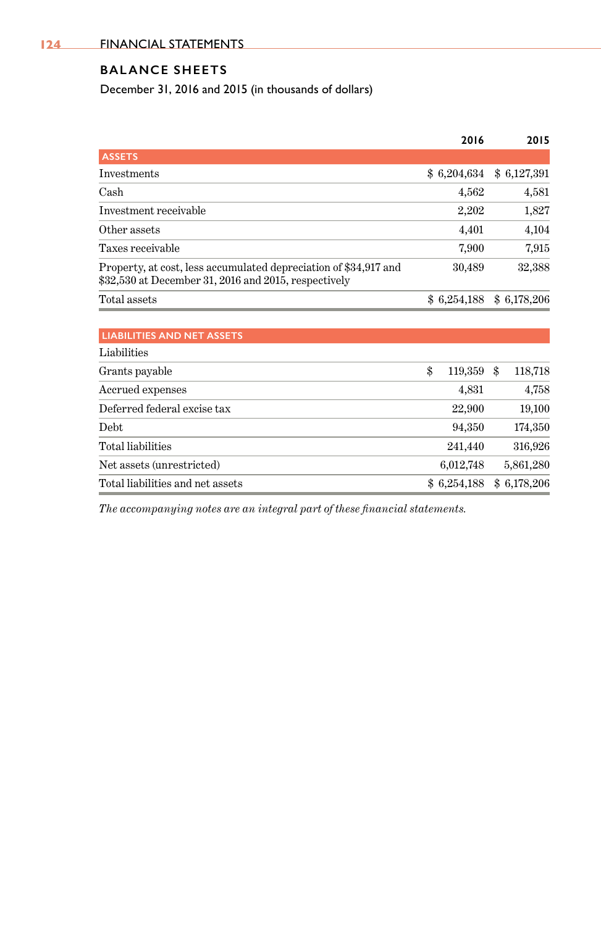# **BALANCE SHEETS**

December 31, 2016 and 2015 (in thousands of dollars)

|                                                                                                                          | 2016          | 2015          |
|--------------------------------------------------------------------------------------------------------------------------|---------------|---------------|
| <b>ASSETS</b>                                                                                                            |               |               |
| <b>Investments</b>                                                                                                       | \$6,204,634   | \$6,127,391   |
| Cash                                                                                                                     | 4,562         | 4,581         |
| Investment receivable                                                                                                    | 2,202         | 1,827         |
| Other assets                                                                                                             | 4,401         | 4,104         |
| Taxes receivable                                                                                                         | 7,900         | 7,915         |
| Property, at cost, less accumulated depreciation of \$34,917 and<br>\$32,530 at December 31, 2016 and 2015, respectively | 30,489        | 32,388        |
| Total assets                                                                                                             | \$6,254,188   | \$6,178,206   |
|                                                                                                                          |               |               |
| <b>LIABILITIES AND NET ASSETS</b>                                                                                        |               |               |
| Liabilities                                                                                                              |               |               |
| Grants payable                                                                                                           | \$<br>119,359 | \$<br>118,718 |
| Accrued expenses                                                                                                         | 4,831         | 4,758         |
| Deferred federal excise tax                                                                                              | 22,900        | 19,100        |
| Debt                                                                                                                     | 94,350        | 174,350       |
| Total liabilities                                                                                                        | 241,440       | 316,926       |
| Net assets (unrestricted)                                                                                                | 6,012,748     | 5,861,280     |
| Total liabilities and net assets                                                                                         | \$6,254,188   | \$6,178,206   |

*The accompanying notes are an integral part of these financial statements.*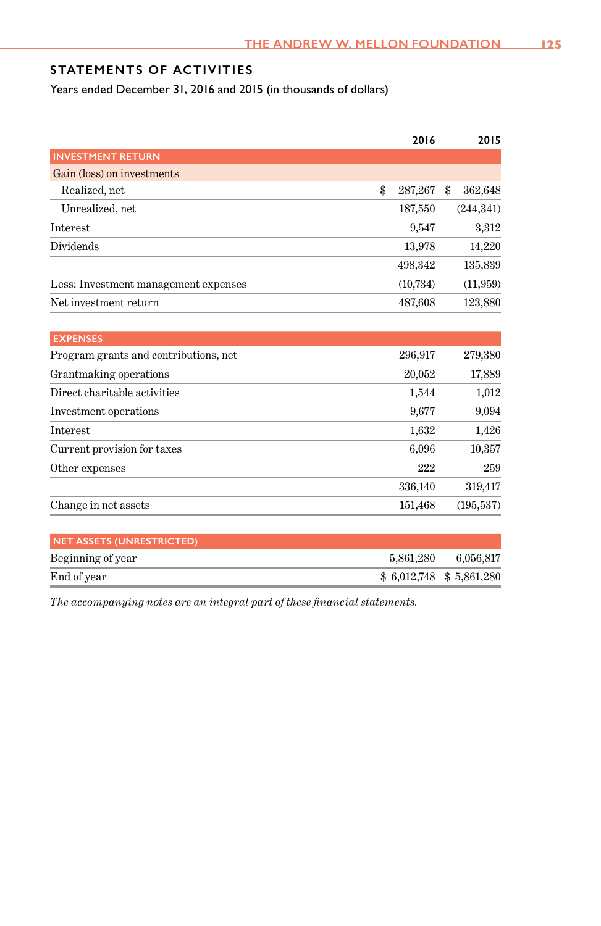# **STATEMENTS OF ACTIVITIES**

Years ended December 31, 2016 and 2015 (in thousands of dollars)

|                                       | 2016          | 2015          |
|---------------------------------------|---------------|---------------|
| <b>INVESTMENT RETURN</b>              |               |               |
| Gain (loss) on investments            |               |               |
| Realized, net                         | \$<br>287,267 | \$<br>362,648 |
| Unrealized, net                       | 187,550       | (244, 341)    |
| Interest                              | 9,547         | 3,312         |
| Dividends                             | 13,978        | 14,220        |
|                                       | 498,342       | 135,839       |
| Less: Investment management expenses  | (10, 734)     | (11, 959)     |
| Net investment return                 | 487,608       | 123,880       |
| <b>EXPENSES</b>                       |               |               |
| Program grants and contributions, net | 296,917       | 279,380       |
| Grantmaking operations                | 20,052        | 17,889        |
| Direct charitable activities          | 1,544         | 1,012         |
| Investment operations                 | 9,677         | 9,094         |
| <b>Interest</b>                       | 1,632         | 1,426         |
| Current provision for taxes           | 6,096         | 10,357        |
| Other expenses                        | 222           | 259           |
|                                       | 336,140       | 319,417       |
| Change in net assets                  | 151,468       | (195, 537)    |
| <b>NET ASSETS (UNRESTRICTED)</b>      |               |               |
| Beginning of year                     | 5,861,280     | 6,056,817     |
| End of year                           | \$6,012,748   | \$5,861,280   |

*The accompanying notes are an integral part of these financial statements.*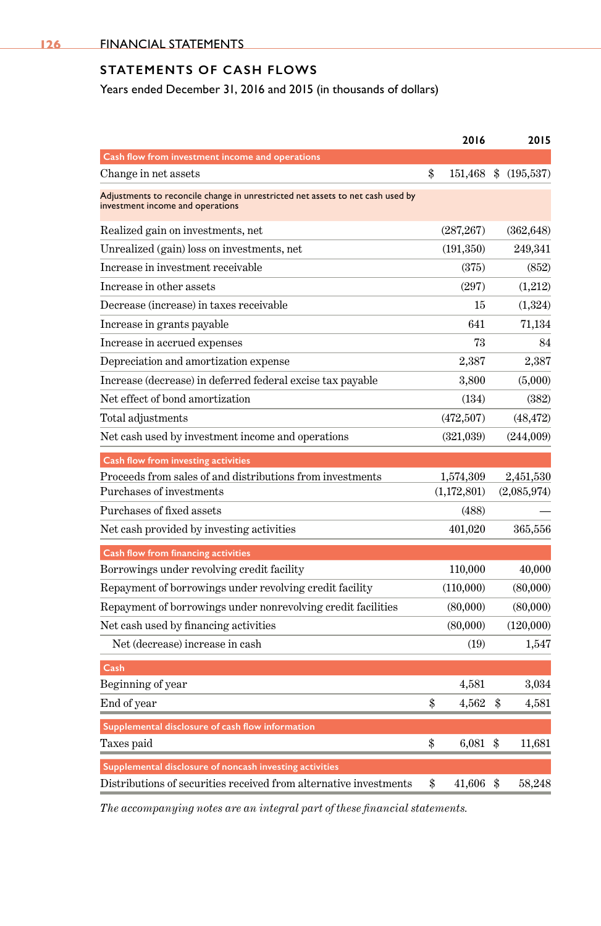# **STATEMENTS OF CASH FLOWS**

Years ended December 31, 2016 and 2015 (in thousands of dollars)

|                                                                                                                    | 2016              | 2015             |
|--------------------------------------------------------------------------------------------------------------------|-------------------|------------------|
| Cash flow from investment income and operations                                                                    |                   |                  |
| Change in net assets                                                                                               | \$<br>151,468     | \$<br>(195, 537) |
| Adjustments to reconcile change in unrestricted net assets to net cash used by<br>investment income and operations |                   |                  |
| Realized gain on investments, net                                                                                  | (287, 267)        | (362, 648)       |
| Unrealized (gain) loss on investments, net                                                                         | (191, 350)        | 249,341          |
| Increase in investment receivable                                                                                  | (375)             | (852)            |
| Increase in other assets                                                                                           | (297)             | (1,212)          |
| Decrease (increase) in taxes receivable                                                                            | 15                | (1,324)          |
| Increase in grants payable                                                                                         | 641               | 71,134           |
| Increase in accrued expenses                                                                                       | 73                | 84               |
| Depreciation and amortization expense                                                                              | 2,387             | 2,387            |
| Increase (decrease) in deferred federal excise tax payable                                                         | 3,800             | (5,000)          |
| Net effect of bond amortization                                                                                    | (134)             | (382)            |
| Total adjustments                                                                                                  | (472,507)         | (48, 472)        |
| Net cash used by investment income and operations                                                                  | (321,039)         | (244,009)        |
| Cash flow from investing activities                                                                                |                   |                  |
| Proceeds from sales of and distributions from investments                                                          | 1,574,309         | 2,451,530        |
| Purchases of investments                                                                                           | (1,172,801)       | (2,085,974)      |
| Purchases of fixed assets                                                                                          | (488)             |                  |
| Net cash provided by investing activities                                                                          | 401,020           | 365,556          |
| Cash flow from financing activities                                                                                |                   |                  |
| Borrowings under revolving credit facility                                                                         | 110,000           | 40,000           |
| Repayment of borrowings under revolving credit facility                                                            | (110,000)         | (80,000)         |
| Repayment of borrowings under nonrevolving credit facilities                                                       | (80,000)          | (80,000)         |
| Net cash used by financing activities                                                                              | (80,000)          | (120,000)        |
| Net (decrease) increase in cash                                                                                    | (19)              | 1,547            |
| Cash                                                                                                               |                   |                  |
| Beginning of year                                                                                                  | 4,581             | 3,034            |
| End of year                                                                                                        | \$<br>4,562       | \$<br>4,581      |
| Supplemental disclosure of cash flow information                                                                   |                   |                  |
| Taxes paid                                                                                                         | \$<br>$6,081$ \$  | 11,681           |
| Supplemental disclosure of noncash investing activities                                                            |                   |                  |
| Distributions of securities received from alternative investments                                                  | \$<br>$41,606$ \$ | 58,248           |

*The accompanying notes are an integral part of these financial statements.*

**126**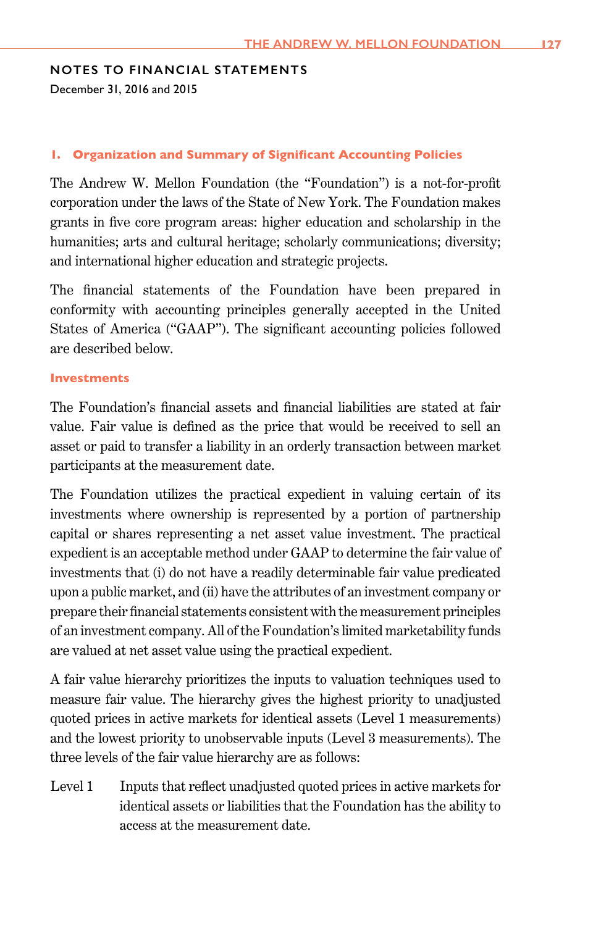#### **NOTES TO FINANCIAL STATEMENTS**

December 31, 2016 and 2015

#### **1. Organization and Summary of Significant Accounting Policies**

The Andrew W. Mellon Foundation (the "Foundation") is a not-for-profit corporation under the laws of the State of New York. The Foundation makes grants in five core program areas: higher education and scholarship in the humanities; arts and cultural heritage; scholarly communications; diversity; and international higher education and strategic projects.

The financial statements of the Foundation have been prepared in conformity with accounting principles generally accepted in the United States of America ("GAAP"). The significant accounting policies followed are described below.

#### **Investments**

The Foundation's financial assets and financial liabilities are stated at fair value. Fair value is defined as the price that would be received to sell an asset or paid to transfer a liability in an orderly transaction between market participants at the measurement date.

The Foundation utilizes the practical expedient in valuing certain of its investments where ownership is represented by a portion of partnership capital or shares representing a net asset value investment. The practical expedient is an acceptable method under GAAP to determine the fair value of investments that (i) do not have a readily determinable fair value predicated upon a public market, and (ii) have the attributes of an investment company or prepare their financial statements consistent with the measurement principles of an investment company. All of the Foundation's limited marketability funds are valued at net asset value using the practical expedient.

A fair value hierarchy prioritizes the inputs to valuation techniques used to measure fair value. The hierarchy gives the highest priority to unadjusted quoted prices in active markets for identical assets (Level 1 measurements) and the lowest priority to unobservable inputs (Level 3 measurements). The three levels of the fair value hierarchy are as follows:

Level 1 Inputs that reflect unadjusted quoted prices in active markets for identical assets or liabilities that the Foundation has the ability to access at the measurement date.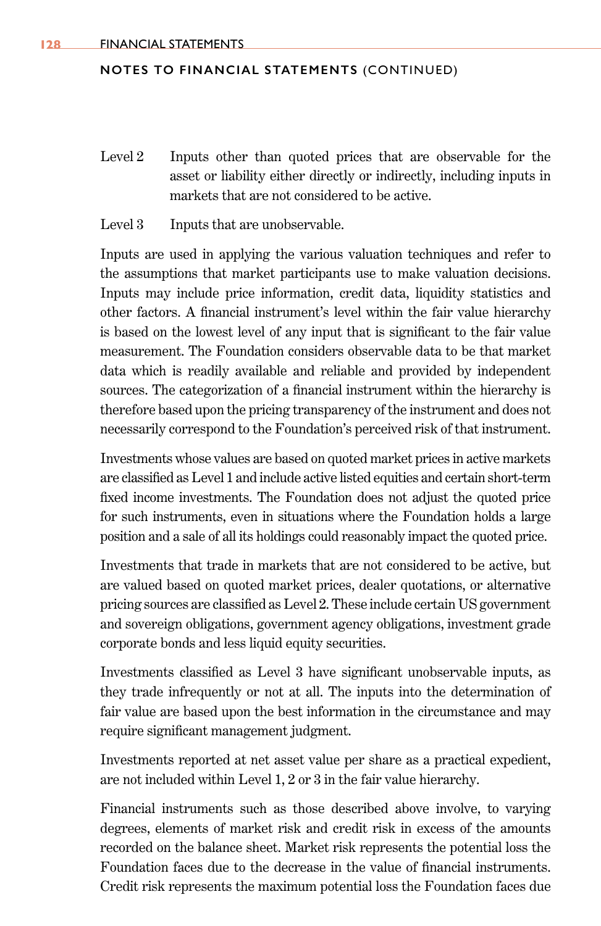- Level 2 Inputs other than quoted prices that are observable for the asset or liability either directly or indirectly, including inputs in markets that are not considered to be active.
- Level 3 Inputs that are unobservable.

Inputs are used in applying the various valuation techniques and refer to the assumptions that market participants use to make valuation decisions. Inputs may include price information, credit data, liquidity statistics and other factors. A financial instrument's level within the fair value hierarchy is based on the lowest level of any input that is significant to the fair value measurement. The Foundation considers observable data to be that market data which is readily available and reliable and provided by independent sources. The categorization of a financial instrument within the hierarchy is therefore based upon the pricing transparency of the instrument and does not necessarily correspond to the Foundation's perceived risk of that instrument.

Investments whose values are based on quoted market prices in active markets are classified as Level 1 and include active listed equities and certain short-term fixed income investments. The Foundation does not adjust the quoted price for such instruments, even in situations where the Foundation holds a large position and a sale of all its holdings could reasonably impact the quoted price.

Investments that trade in markets that are not considered to be active, but are valued based on quoted market prices, dealer quotations, or alternative pricing sources are classified as Level 2. These include certain US government and sovereign obligations, government agency obligations, investment grade corporate bonds and less liquid equity securities.

Investments classified as Level 3 have significant unobservable inputs, as they trade infrequently or not at all. The inputs into the determination of fair value are based upon the best information in the circumstance and may require significant management judgment.

Investments reported at net asset value per share as a practical expedient, are not included within Level 1, 2 or 3 in the fair value hierarchy.

Financial instruments such as those described above involve, to varying degrees, elements of market risk and credit risk in excess of the amounts recorded on the balance sheet. Market risk represents the potential loss the Foundation faces due to the decrease in the value of financial instruments. Credit risk represents the maximum potential loss the Foundation faces due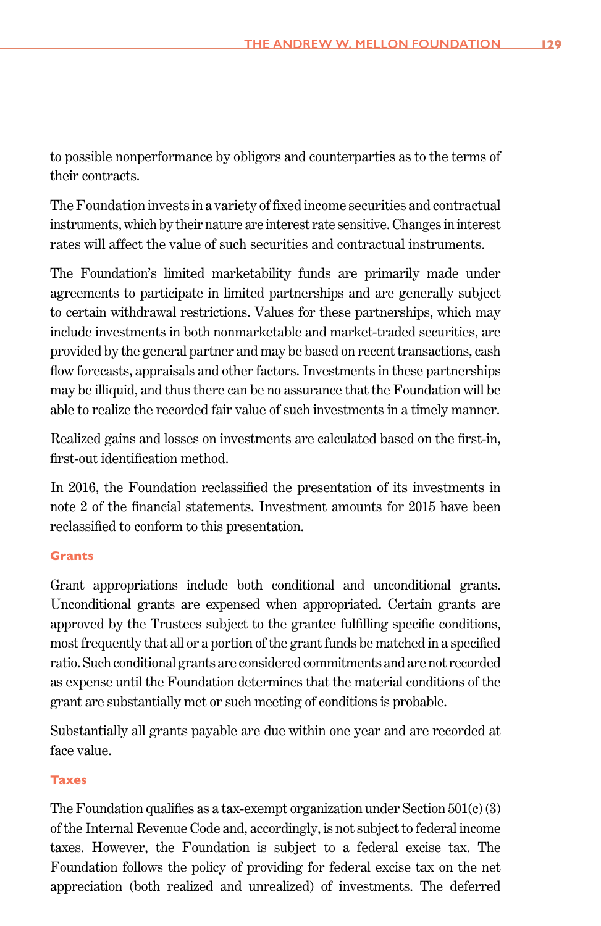to possible nonperformance by obligors and counterparties as to the terms of their contracts.

The Foundation invests in a variety of fixed income securities and contractual instruments, which by their nature are interest rate sensitive. Changes in interest rates will affect the value of such securities and contractual instruments.

The Foundation's limited marketability funds are primarily made under agreements to participate in limited partnerships and are generally subject to certain withdrawal restrictions. Values for these partnerships, which may include investments in both nonmarketable and market-traded securities, are provided by the general partner and may be based on recent transactions, cash flow forecasts, appraisals and other factors. Investments in these partnerships may be illiquid, and thus there can be no assurance that the Foundation will be able to realize the recorded fair value of such investments in a timely manner.

Realized gains and losses on investments are calculated based on the first-in, first-out identification method.

In 2016, the Foundation reclassified the presentation of its investments in note 2 of the financial statements. Investment amounts for 2015 have been reclassified to conform to this presentation.

# **Grants**

Grant appropriations include both conditional and unconditional grants. Unconditional grants are expensed when appropriated. Certain grants are approved by the Trustees subject to the grantee fulfilling specific conditions, most frequently that all or a portion of the grant funds be matched in a specified ratio. Such conditional grants are considered commitments and are not recorded as expense until the Foundation determines that the material conditions of the grant are substantially met or such meeting of conditions is probable.

Substantially all grants payable are due within one year and are recorded at face value.

# **Taxes**

The Foundation qualifies as a tax-exempt organization under Section  $501(c)(3)$ of the Internal Revenue Code and, accordingly, is not subject to federal income taxes. However, the Foundation is subject to a federal excise tax. The Foundation follows the policy of providing for federal excise tax on the net appreciation (both realized and unrealized) of investments. The deferred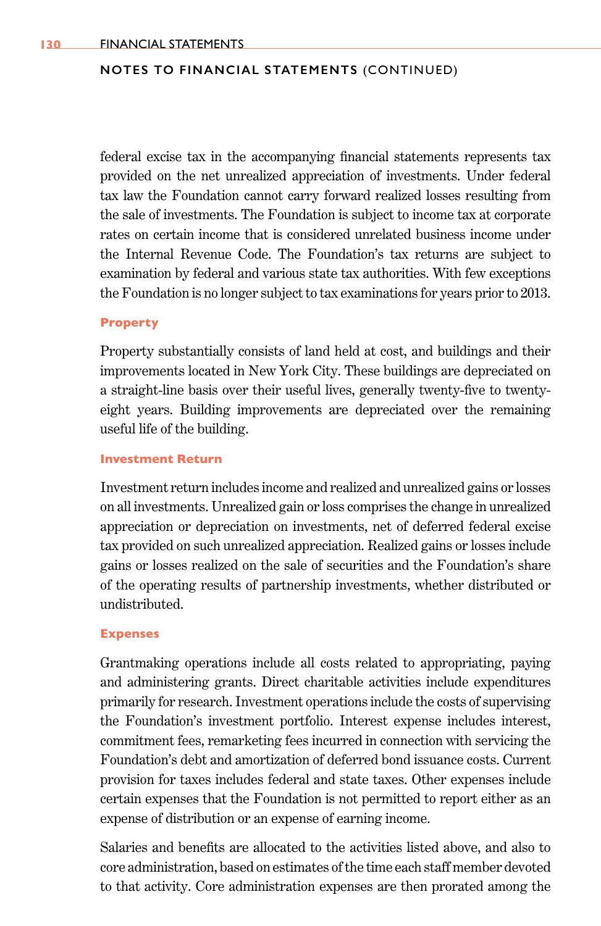federal excise tax in the accompanying financial statements represents tax provided on the net unrealized appreciation of investments. Under federal tax law the Foundation cannot carry forward realized losses resulting from the sale of investments. The Foundation is subject to income tax at corporate rates on certain income that is considered unrelated business income under the Internal Revenue Code. The Foundation's tax returns are subject to examination by federal and various state tax authorities. With few exceptions the Foundation is no longer subject to tax examinations for years prior to 2013.

#### **Property**

Property substantially consists of land held at cost, and buildings and their improvements located in New York City. These buildings are depreciated on a straight-line basis over their useful lives, generally twenty-five to twentyeight years. Building improvements are depreciated over the remaining useful life of the building.

### **Investment Return**

Investment return includes income and realized and unrealized gains or losses on all investments. Unrealized gain or loss comprises the change in unrealized appreciation or depreciation on investments, net of deferred federal excise tax provided on such unrealized appreciation. Realized gains or losses include gains or losses realized on the sale of securities and the Foundation's share of the operating results of partnership investments, whether distributed or undistributed.

#### **Expenses**

Grantmaking operations include all costs related to appropriating, paying and administering grants. Direct charitable activities include expenditures primarily for research. Investment operations include the costs of supervising the Foundation's investment portfolio. Interest expense includes interest, commitment fees, remarketing fees incurred in connection with servicing the Foundation's debt and amortization of deferred bond issuance costs. Current provision for taxes includes federal and state taxes. Other expenses include certain expenses that the Foundation is not permitted to report either as an expense of distribution or an expense of earning income.

Salaries and benefits are allocated to the activities listed above, and also to core administration, based on estimates of the time each staff member devoted to that activity. Core administration expenses are then prorated among the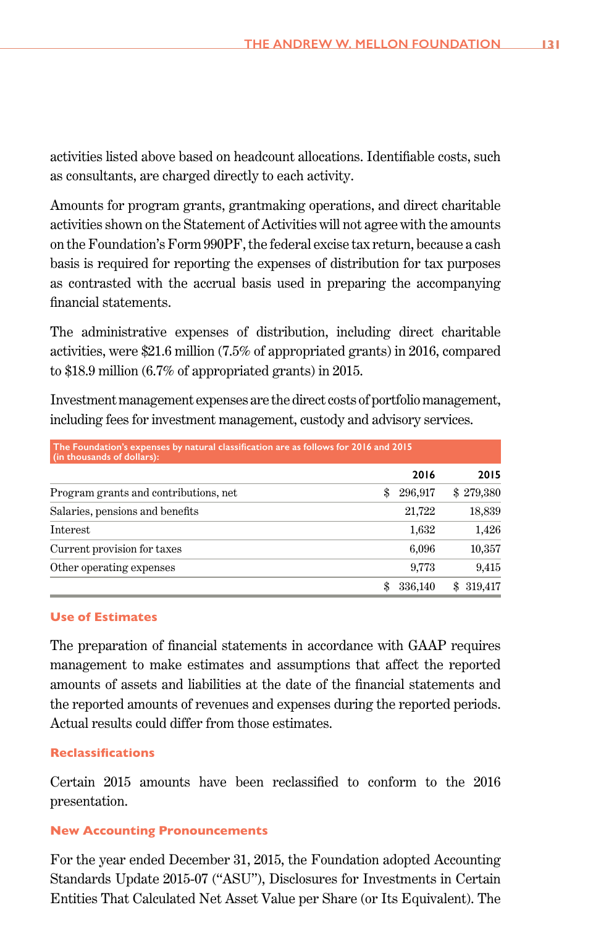activities listed above based on headcount allocations. Identifiable costs, such as consultants, are charged directly to each activity.

Amounts for program grants, grantmaking operations, and direct charitable activities shown on the Statement of Activities will not agree with the amounts on the Foundation's Form 990PF, the federal excise tax return, because a cash basis is required for reporting the expenses of distribution for tax purposes as contrasted with the accrual basis used in preparing the accompanying financial statements.

The administrative expenses of distribution, including direct charitable activities, were \$21.6 million (7.5% of appropriated grants) in 2016, compared to \$18.9 million (6.7% of appropriated grants) in 2015.

Investment management expenses are the direct costs of portfolio management, including fees for investment management, custody and advisory services.

| The Foundation's expenses by natural classification are as follows for 2016 and 2015<br>(in thousands of dollars): |               |                |  |  |
|--------------------------------------------------------------------------------------------------------------------|---------------|----------------|--|--|
|                                                                                                                    | 2016          | 2015           |  |  |
| Program grants and contributions, net                                                                              | 296,917<br>\$ | \$279,380      |  |  |
| Salaries, pensions and benefits                                                                                    | 21,722        | 18,839         |  |  |
| Interest                                                                                                           | 1,632         | 1,426          |  |  |
| Current provision for taxes                                                                                        | 6,096         | 10,357         |  |  |
| Other operating expenses                                                                                           | 9,773         | 9,415          |  |  |
|                                                                                                                    | 336,140       | 319.417<br>SS. |  |  |

### **Use of Estimates**

The preparation of financial statements in accordance with GAAP requires management to make estimates and assumptions that affect the reported amounts of assets and liabilities at the date of the financial statements and the reported amounts of revenues and expenses during the reported periods. Actual results could differ from those estimates.

#### **Reclassifications**

Certain 2015 amounts have been reclassified to conform to the 2016 presentation.

#### **New Accounting Pronouncements**

For the year ended December 31, 2015, the Foundation adopted Accounting Standards Update 2015-07 ("ASU"), Disclosures for Investments in Certain Entities That Calculated Net Asset Value per Share (or Its Equivalent). The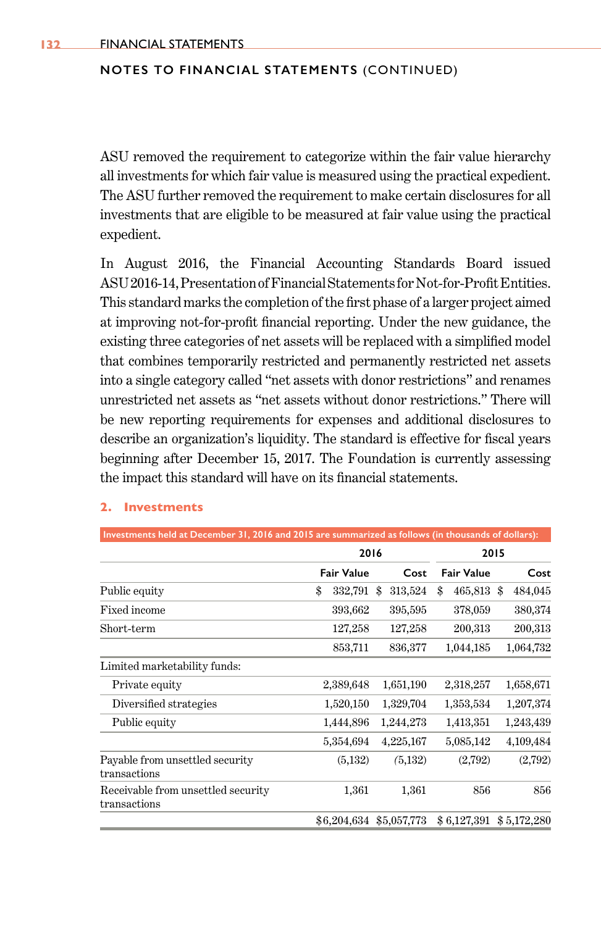ASU removed the requirement to categorize within the fair value hierarchy all investments for which fair value is measured using the practical expedient. The ASU further removed the requirement to make certain disclosures for all investments that are eligible to be measured at fair value using the practical expedient.

In August 2016, the Financial Accounting Standards Board issued ASU2016-14, Presentation of Financial Statements for Not-for-Profit Entities. This standard marks the completion of the first phase of a larger project aimed at improving not-for-profit financial reporting. Under the new guidance, the existing three categories of net assets will be replaced with a simplified model that combines temporarily restricted and permanently restricted net assets into a single category called "net assets with donor restrictions" and renames unrestricted net assets as "net assets without donor restrictions." There will be new reporting requirements for expenses and additional disclosures to describe an organization's liquidity. The standard is effective for fiscal years beginning after December 15, 2017. The Foundation is currently assessing the impact this standard will have on its financial statements.

#### **2. Investments**

| Investments held at December 31, 2016 and 2015 are summarized as follows (in thousands of dollars): |                   |               |                   |             |
|-----------------------------------------------------------------------------------------------------|-------------------|---------------|-------------------|-------------|
|                                                                                                     | 2016              |               | 2015              |             |
|                                                                                                     | <b>Fair Value</b> | Cost          | <b>Fair Value</b> | Cost        |
| Public equity                                                                                       | \$<br>332,791     | 313,524<br>\$ | \$<br>465,813 \$  | 484,045     |
| <b>Fixed income</b>                                                                                 | 393,662           | 395,595       | 378,059           | 380,374     |
| Short-term                                                                                          | 127,258           | 127,258       | 200,313           | 200,313     |
|                                                                                                     | 853,711           | 836,377       | 1,044,185         | 1,064,732   |
| Limited marketability funds:                                                                        |                   |               |                   |             |
| Private equity                                                                                      | 2,389,648         | 1,651,190     | 2,318,257         | 1,658,671   |
| Diversified strategies                                                                              | 1,520,150         | 1,329,704     | 1,353,534         | 1,207,374   |
| Public equity                                                                                       | 1,444,896         | 1,244,273     | 1,413,351         | 1,243,439   |
|                                                                                                     | 5,354,694         | 4,225,167     | 5,085,142         | 4,109,484   |
| Payable from unsettled security<br>transactions                                                     | (5,132)           | (5,132)       | (2,792)           | (2,792)     |
| Receivable from unsettled security<br>transactions                                                  | 1,361             | 1,361         | 856               | 856         |
|                                                                                                     | \$6,204,634       | \$5,057,773   | \$6,127,391       | \$5,172,280 |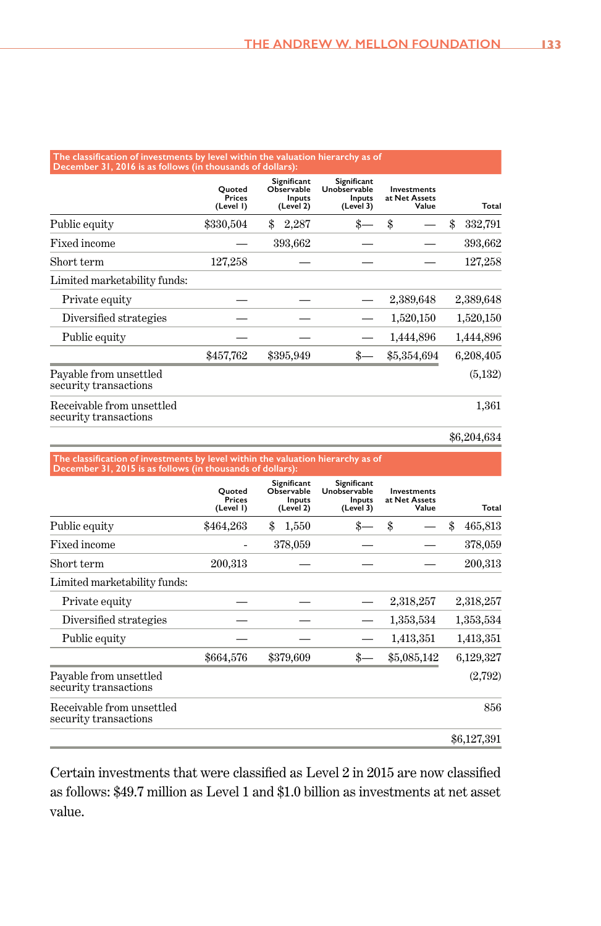# **The classification of investments by level within the valuation hierarchy as of December 31, 2016 is as follows (in thousands of dollars):**

|                                                    | Ouoted<br><b>Prices</b><br>(Level I) | Significant<br>Observable<br>Inputs<br>(Level 2) | Significant<br>Unobservable<br>Inputs<br>(Level 3) | <b>Investments</b><br>at Net Assets<br>Value | Total         |
|----------------------------------------------------|--------------------------------------|--------------------------------------------------|----------------------------------------------------|----------------------------------------------|---------------|
| Public equity                                      | \$330,504                            | \$<br>2,287                                      | \$.                                                | \$                                           | \$<br>332,791 |
| Fixed income                                       |                                      | 393,662                                          |                                                    |                                              | 393,662       |
| Short term                                         | 127,258                              |                                                  |                                                    |                                              | 127,258       |
| Limited marketability funds:                       |                                      |                                                  |                                                    |                                              |               |
| Private equity                                     |                                      |                                                  |                                                    | 2,389,648                                    | 2,389,648     |
| Diversified strategies                             |                                      |                                                  |                                                    | 1,520,150                                    | 1,520,150     |
| Public equity                                      |                                      |                                                  |                                                    | 1,444,896                                    | 1,444,896     |
|                                                    | \$457,762                            | \$395,949                                        | \$                                                 | \$5,354,694                                  | 6,208,405     |
| Pavable from unsettled<br>security transactions    |                                      |                                                  |                                                    |                                              | (5,132)       |
| Receivable from unsettled<br>security transactions |                                      |                                                  |                                                    |                                              | 1,361         |

\$6,204,634

|                                                    | Ouoted<br>Prices<br>(Level I) | Significant<br>Observable<br>Inputs<br>(Level 2) | Significant<br>Unobservable<br>Inputs<br>(Level 3) | Investments<br>at Net Assets<br>Value | Total         |
|----------------------------------------------------|-------------------------------|--------------------------------------------------|----------------------------------------------------|---------------------------------------|---------------|
| Public equity                                      | \$464,263                     | \$<br>1,550                                      |                                                    | \$                                    | \$<br>465,813 |
| Fixed income                                       |                               | 378,059                                          |                                                    |                                       | 378,059       |
| Short term                                         | 200,313                       |                                                  |                                                    |                                       | 200,313       |
| Limited marketability funds:                       |                               |                                                  |                                                    |                                       |               |
| Private equity                                     |                               |                                                  |                                                    | 2,318,257                             | 2,318,257     |
| Diversified strategies                             |                               |                                                  |                                                    | 1,353,534                             | 1,353,534     |
| Public equity                                      |                               |                                                  |                                                    | 1,413,351                             | 1,413,351     |
|                                                    | \$664,576                     | \$379,609                                        |                                                    | \$5,085,142                           | 6,129,327     |
| Payable from unsettled<br>security transactions    |                               |                                                  |                                                    |                                       | (2,792)       |
| Receivable from unsettled<br>security transactions |                               |                                                  |                                                    |                                       | 856           |
|                                                    |                               |                                                  |                                                    |                                       | \$6,127,391   |

Certain investments that were classified as Level 2 in 2015 are now classified as follows: \$49.7 million as Level 1 and \$1.0 billion as investments at net asset value.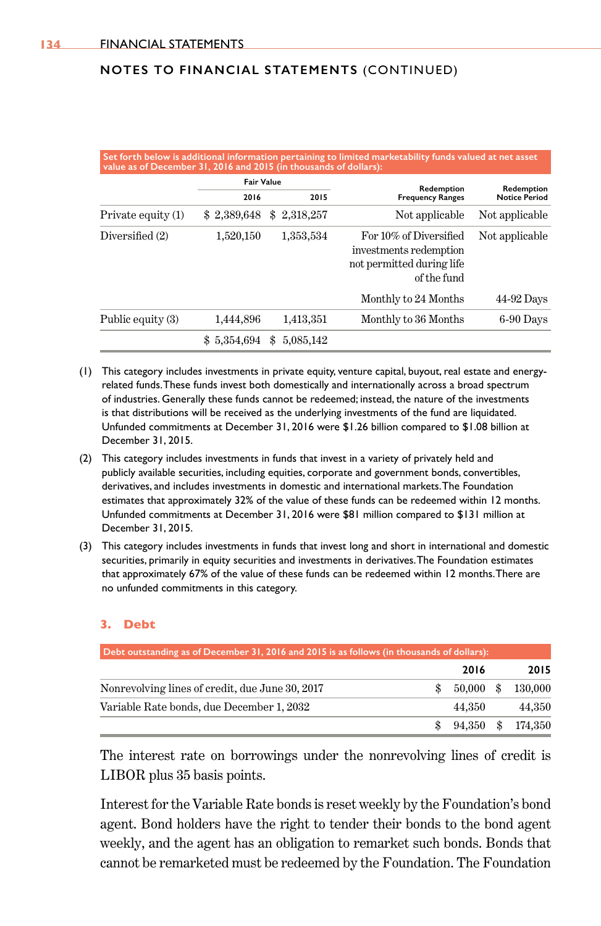|                    | <b>Fair Value</b> |                  |                                                                                              |                                    |
|--------------------|-------------------|------------------|----------------------------------------------------------------------------------------------|------------------------------------|
|                    | 2016              | 2015             | Redemption<br><b>Frequency Ranges</b>                                                        | Redemption<br><b>Notice Period</b> |
| Private equity (1) | \$2,389,648       | 2,318,257<br>\$. | Not applicable                                                                               | Not applicable                     |
| Diversified (2)    | 1,520,150         | 1,353,534        | For 10% of Diversified<br>investments redemption<br>not permitted during life<br>of the fund | Not applicable                     |
|                    |                   |                  | Monthly to 24 Months                                                                         | 44-92 Days                         |
| Public equity (3)  | 1,444,896         | 1,413,351        | Monthly to 36 Months                                                                         | 6-90 Days                          |
|                    | 5,354,694<br>\$.  | 5.085.142        |                                                                                              |                                    |

- (1) This category includes investments in private equity, venture capital, buyout, real estate and energyrelated funds. These funds invest both domestically and internationally across a broad spectrum of industries. Generally these funds cannot be redeemed; instead, the nature of the investments is that distributions will be received as the underlying investments of the fund are liquidated. Unfunded commitments at December 31, 2016 were \$1.26 billion compared to \$1.08 billion at December 31, 2015.
- (2) This category includes investments in funds that invest in a variety of privately held and publicly available securities, including equities, corporate and government bonds, convertibles, derivatives, and includes investments in domestic and international markets. The Foundation estimates that approximately 32% of the value of these funds can be redeemed within 12 months. Unfunded commitments at December 31, 2016 were \$81 million compared to \$131 million at December 31, 2015.
- (3) This category includes investments in funds that invest long and short in international and domestic securities, primarily in equity securities and investments in derivatives. The Foundation estimates that approximately 67% of the value of these funds can be redeemed within 12 months. There are no unfunded commitments in this category.

#### **3. Debt**

| Debt outstanding as of December 31, 2016 and 2015 is as follows (in thousands of dollars): |             |         |
|--------------------------------------------------------------------------------------------|-------------|---------|
|                                                                                            | 2016        | 2015    |
| Nonrevolving lines of credit, due June 30, 2017                                            | $50,000$ \$ | 130,000 |
| Variable Rate bonds, due December 1, 2032                                                  | 44.350      | 44.350  |
|                                                                                            | 94,350 \$   | 174,350 |

The interest rate on borrowings under the nonrevolving lines of credit is LIBOR plus 35 basis points.

Interest for the Variable Rate bonds is reset weekly by the Foundation's bond agent. Bond holders have the right to tender their bonds to the bond agent weekly, and the agent has an obligation to remarket such bonds. Bonds that cannot be remarketed must be redeemed by the Foundation. The Foundation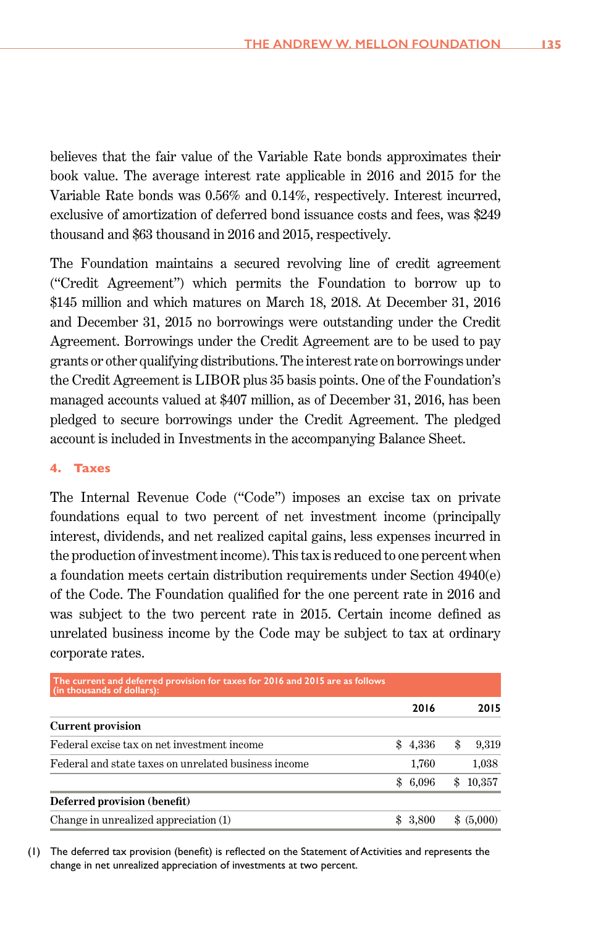believes that the fair value of the Variable Rate bonds approximates their book value. The average interest rate applicable in 2016 and 2015 for the Variable Rate bonds was 0.56% and 0.14%, respectively. Interest incurred, exclusive of amortization of deferred bond issuance costs and fees, was \$249 thousand and \$63 thousand in 2016 and 2015, respectively.

The Foundation maintains a secured revolving line of credit agreement ("Credit Agreement") which permits the Foundation to borrow up to \$145 million and which matures on March 18, 2018. At December 31, 2016 and December 31, 2015 no borrowings were outstanding under the Credit Agreement. Borrowings under the Credit Agreement are to be used to pay grants or other qualifying distributions. The interest rate on borrowings under the Credit Agreement is LIBOR plus 35 basis points. One of the Foundation's managed accounts valued at \$407 million, as of December 31, 2016, has been pledged to secure borrowings under the Credit Agreement. The pledged account is included in Investments in the accompanying Balance Sheet.

### **4. Taxes**

The Internal Revenue Code ("Code") imposes an excise tax on private foundations equal to two percent of net investment income (principally interest, dividends, and net realized capital gains, less expenses incurred in the production of investment income). This tax is reduced to one percent when a foundation meets certain distribution requirements under Section 4940(e) of the Code. The Foundation qualified for the one percent rate in 2016 and was subject to the two percent rate in 2015. Certain income defined as unrelated business income by the Code may be subject to tax at ordinary corporate rates.

| The current and deferred provision for taxes for 2016 and 2015 are as follows<br>(in thousands of dollars): |         |    |            |
|-------------------------------------------------------------------------------------------------------------|---------|----|------------|
|                                                                                                             | 2016    |    | 2015       |
| <b>Current provision</b>                                                                                    |         |    |            |
| Federal excise tax on net investment income                                                                 | \$4,336 | S  | 9,319      |
| Federal and state taxes on unrelated business income                                                        | 1,760   |    | 1,038      |
|                                                                                                             | \$6,096 | \$ | 10,357     |
| Deferred provision (benefit)                                                                                |         |    |            |
| Change in unrealized appreciation (1)                                                                       | 3,800   |    | \$ (5,000) |

 (1) The deferred tax provision (benefit) is reflected on the Statement of Activities and represents the change in net unrealized appreciation of investments at two percent.